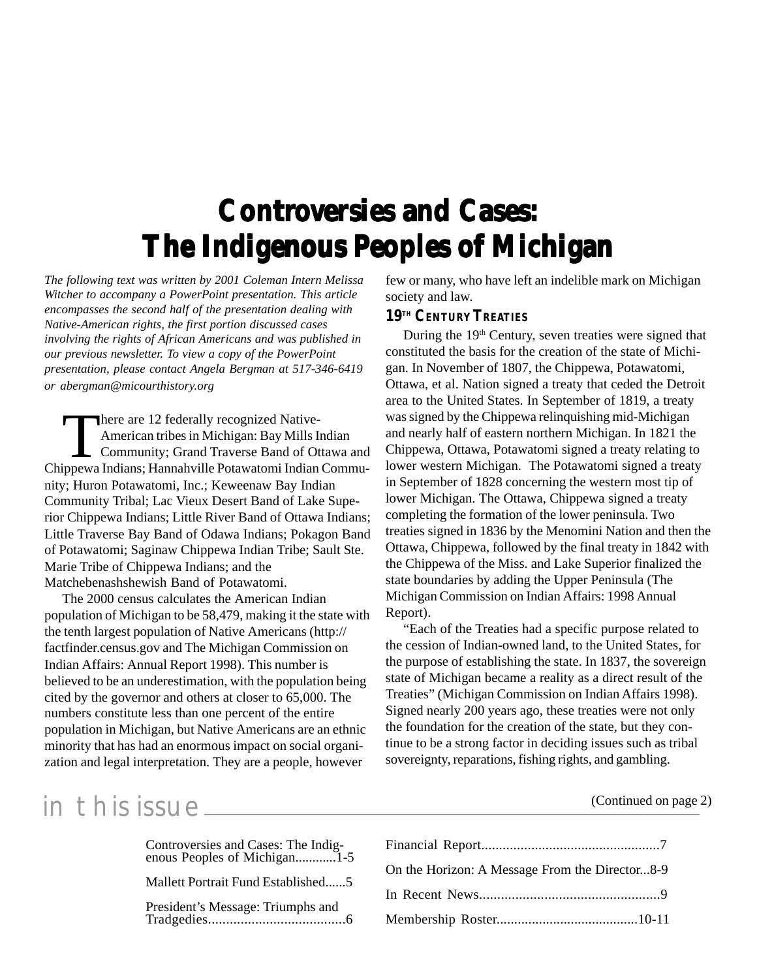# **Controversies and Cases: The Indigenous Peoples of Michigan**

*The following text was written by 2001 Coleman Intern Melissa Witcher to accompany a PowerPoint presentation. This article encompasses the second half of the presentation dealing with Native-American rights, the first portion discussed cases involving the rights of African Americans and was published in our previous newsletter. To view a copy of the PowerPoint presentation, please contact Angela Bergman at 517-346-6419 or abergman@micourthistory.org*

There are 12 federally recognized Native-American tribes in Michigan: Bay Mills Indian Community; Grand Traverse Band of Ottawa and Chippewa Indians; Hannahville Potawatomi Indian Community; Huron Potawatomi, Inc.; Keweenaw Bay Indian Community Tribal; Lac Vieux Desert Band of Lake Superior Chippewa Indians; Little River Band of Ottawa Indians; Little Traverse Bay Band of Odawa Indians; Pokagon Band of Potawatomi; Saginaw Chippewa Indian Tribe; Sault Ste. Marie Tribe of Chippewa Indians; and the Matchebenashshewish Band of Potawatomi.

The 2000 census calculates the American Indian population of Michigan to be 58,479, making it the state with the tenth largest population of Native Americans (http:// factfinder.census.gov and The Michigan Commission on Indian Affairs: Annual Report 1998). This number is believed to be an underestimation, with the population being cited by the governor and others at closer to 65,000. The numbers constitute less than one percent of the entire population in Michigan, but Native Americans are an ethnic minority that has had an enormous impact on social organization and legal interpretation. They are a people, however

few or many, who have left an indelible mark on Michigan society and law.

#### **19TH CENTURY TREATIES**

During the 19<sup>th</sup> Century, seven treaties were signed that constituted the basis for the creation of the state of Michigan. In November of 1807, the Chippewa, Potawatomi, Ottawa, et al. Nation signed a treaty that ceded the Detroit area to the United States. In September of 1819, a treaty was signed by the Chippewa relinquishing mid-Michigan and nearly half of eastern northern Michigan. In 1821 the Chippewa, Ottawa, Potawatomi signed a treaty relating to lower western Michigan. The Potawatomi signed a treaty in September of 1828 concerning the western most tip of lower Michigan. The Ottawa, Chippewa signed a treaty completing the formation of the lower peninsula. Two treaties signed in 1836 by the Menomini Nation and then the Ottawa, Chippewa, followed by the final treaty in 1842 with the Chippewa of the Miss. and Lake Superior finalized the state boundaries by adding the Upper Peninsula (The Michigan Commission on Indian Affairs: 1998 Annual Report).

"Each of the Treaties had a specific purpose related to the cession of Indian-owned land, to the United States, for the purpose of establishing the state. In 1837, the sovereign state of Michigan became a reality as a direct result of the Treaties" (Michigan Commission on Indian Affairs 1998). Signed nearly 200 years ago, these treaties were not only the foundation for the creation of the state, but they continue to be a strong factor in deciding issues such as tribal sovereignty, reparations, fishing rights, and gambling.

### in this issue  $\sum_{n=1}^{\infty}$  in this issue

Financial Report..................................................7 On the Horizon: A Message From the Director...8-9 In Recent News..................................................9 Membership Roster........................................10-11 Controversies and Cases: The Indigenous Peoples of Michigan............1-5 Mallett Portrait Fund Established......5 President's Message: Triumphs and Tradgedies......................................6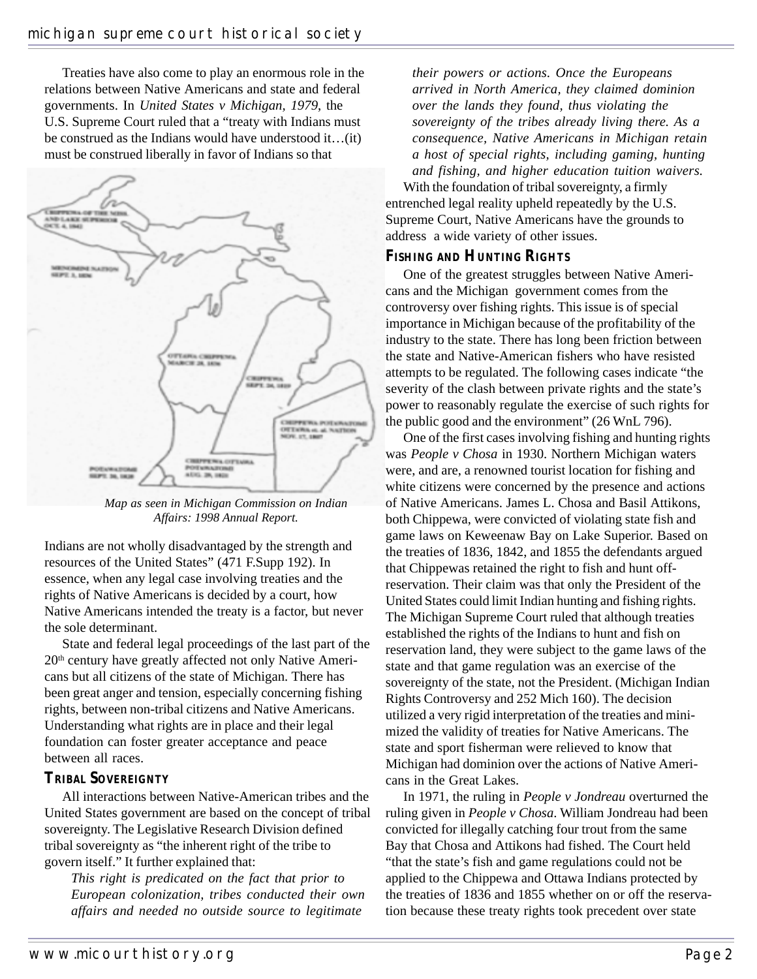Treaties have also come to play an enormous role in the relations between Native Americans and state and federal governments. In *United States v Michigan, 1979*, the U.S. Supreme Court ruled that a "treaty with Indians must be construed as the Indians would have understood it…(it) must be construed liberally in favor of Indians so that



*Map as seen in Michigan Commission on Indian Affairs: 1998 Annual Report.*

Indians are not wholly disadvantaged by the strength and resources of the United States" (471 F.Supp 192). In essence, when any legal case involving treaties and the rights of Native Americans is decided by a court, how Native Americans intended the treaty is a factor, but never the sole determinant.

State and federal legal proceedings of the last part of the 20<sup>th</sup> century have greatly affected not only Native Americans but all citizens of the state of Michigan. There has been great anger and tension, especially concerning fishing rights, between non-tribal citizens and Native Americans. Understanding what rights are in place and their legal foundation can foster greater acceptance and peace between all races.

#### **TRIBAL SOVEREIGNTY**

All interactions between Native-American tribes and the United States government are based on the concept of tribal sovereignty. The Legislative Research Division defined tribal sovereignty as "the inherent right of the tribe to govern itself." It further explained that:

*This right is predicated on the fact that prior to European colonization, tribes conducted their own affairs and needed no outside source to legitimate*

*their powers or actions. Once the Europeans arrived in North America, they claimed dominion over the lands they found, thus violating the sovereignty of the tribes already living there. As a consequence, Native Americans in Michigan retain a host of special rights, including gaming, hunting and fishing, and higher education tuition waivers.*

With the foundation of tribal sovereignty, a firmly entrenched legal reality upheld repeatedly by the U.S. Supreme Court, Native Americans have the grounds to address a wide variety of other issues.

#### **FISHING AND HUNTING RIGHTS**

One of the greatest struggles between Native Americans and the Michigan government comes from the controversy over fishing rights. This issue is of special importance in Michigan because of the profitability of the industry to the state. There has long been friction between the state and Native-American fishers who have resisted attempts to be regulated. The following cases indicate "the severity of the clash between private rights and the state's power to reasonably regulate the exercise of such rights for the public good and the environment" (26 WnL 796).

One of the first cases involving fishing and hunting rights was *People v Chosa* in 1930. Northern Michigan waters were, and are, a renowned tourist location for fishing and white citizens were concerned by the presence and actions of Native Americans. James L. Chosa and Basil Attikons, both Chippewa, were convicted of violating state fish and game laws on Keweenaw Bay on Lake Superior. Based on the treaties of 1836, 1842, and 1855 the defendants argued that Chippewas retained the right to fish and hunt offreservation. Their claim was that only the President of the United States could limit Indian hunting and fishing rights. The Michigan Supreme Court ruled that although treaties established the rights of the Indians to hunt and fish on reservation land, they were subject to the game laws of the state and that game regulation was an exercise of the sovereignty of the state, not the President. (Michigan Indian Rights Controversy and 252 Mich 160). The decision utilized a very rigid interpretation of the treaties and minimized the validity of treaties for Native Americans. The state and sport fisherman were relieved to know that Michigan had dominion over the actions of Native Americans in the Great Lakes.

In 1971, the ruling in *People v Jondreau* overturned the ruling given in *People v Chosa*. William Jondreau had been convicted for illegally catching four trout from the same Bay that Chosa and Attikons had fished. The Court held "that the state's fish and game regulations could not be applied to the Chippewa and Ottawa Indians protected by the treaties of 1836 and 1855 whether on or off the reservation because these treaty rights took precedent over state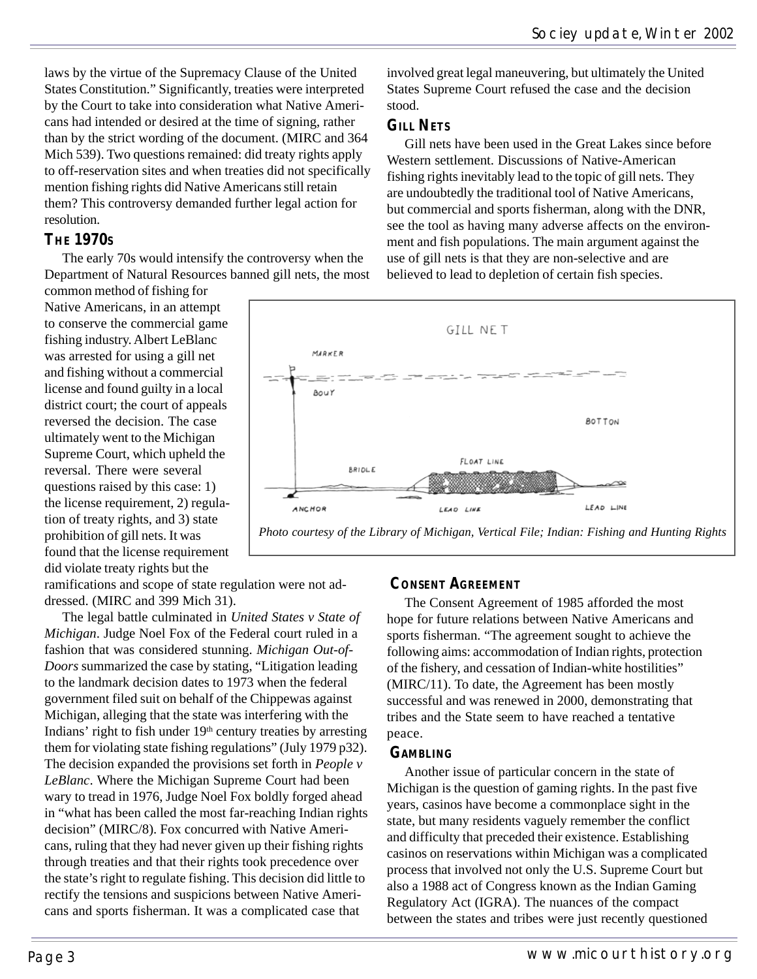laws by the virtue of the Supremacy Clause of the United States Constitution." Significantly, treaties were interpreted by the Court to take into consideration what Native Americans had intended or desired at the time of signing, rather than by the strict wording of the document. (MIRC and 364 Mich 539). Two questions remained: did treaty rights apply to off-reservation sites and when treaties did not specifically mention fishing rights did Native Americans still retain them? This controversy demanded further legal action for resolution.

#### **THE 1970S**

The early 70s would intensify the controversy when the Department of Natural Resources banned gill nets, the most

common method of fishing for Native Americans, in an attempt to conserve the commercial game fishing industry. Albert LeBlanc was arrested for using a gill net and fishing without a commercial license and found guilty in a local district court; the court of appeals reversed the decision. The case ultimately went to the Michigan Supreme Court, which upheld the reversal. There were several questions raised by this case: 1) the license requirement, 2) regulation of treaty rights, and 3) state prohibition of gill nets. It was found that the license requirement did violate treaty rights but the

ramifications and scope of state regulation were not addressed. (MIRC and 399 Mich 31).

The legal battle culminated in *United States v State of Michigan*. Judge Noel Fox of the Federal court ruled in a fashion that was considered stunning. *Michigan Out-of-Doors* summarized the case by stating, "Litigation leading to the landmark decision dates to 1973 when the federal government filed suit on behalf of the Chippewas against Michigan, alleging that the state was interfering with the Indians' right to fish under 19<sup>th</sup> century treaties by arresting them for violating state fishing regulations" (July 1979 p32). The decision expanded the provisions set forth in *People v LeBlanc*. Where the Michigan Supreme Court had been wary to tread in 1976, Judge Noel Fox boldly forged ahead in "what has been called the most far-reaching Indian rights decision" (MIRC/8). Fox concurred with Native Americans, ruling that they had never given up their fishing rights through treaties and that their rights took precedence over the state's right to regulate fishing. This decision did little to rectify the tensions and suspicions between Native Americans and sports fisherman. It was a complicated case that

involved great legal maneuvering, but ultimately the United States Supreme Court refused the case and the decision stood.

#### **GILL NETS**

Gill nets have been used in the Great Lakes since before Western settlement. Discussions of Native-American fishing rights inevitably lead to the topic of gill nets. They are undoubtedly the traditional tool of Native Americans, but commercial and sports fisherman, along with the DNR, see the tool as having many adverse affects on the environment and fish populations. The main argument against the use of gill nets is that they are non-selective and are believed to lead to depletion of certain fish species.



#### **CONSENT AGREEMENT**

The Consent Agreement of 1985 afforded the most hope for future relations between Native Americans and sports fisherman. "The agreement sought to achieve the following aims: accommodation of Indian rights, protection of the fishery, and cessation of Indian-white hostilities" (MIRC/11). To date, the Agreement has been mostly successful and was renewed in 2000, demonstrating that tribes and the State seem to have reached a tentative peace.

#### **GAMBLING**

Another issue of particular concern in the state of Michigan is the question of gaming rights. In the past five years, casinos have become a commonplace sight in the state, but many residents vaguely remember the conflict and difficulty that preceded their existence. Establishing casinos on reservations within Michigan was a complicated process that involved not only the U.S. Supreme Court but also a 1988 act of Congress known as the Indian Gaming Regulatory Act (IGRA). The nuances of the compact between the states and tribes were just recently questioned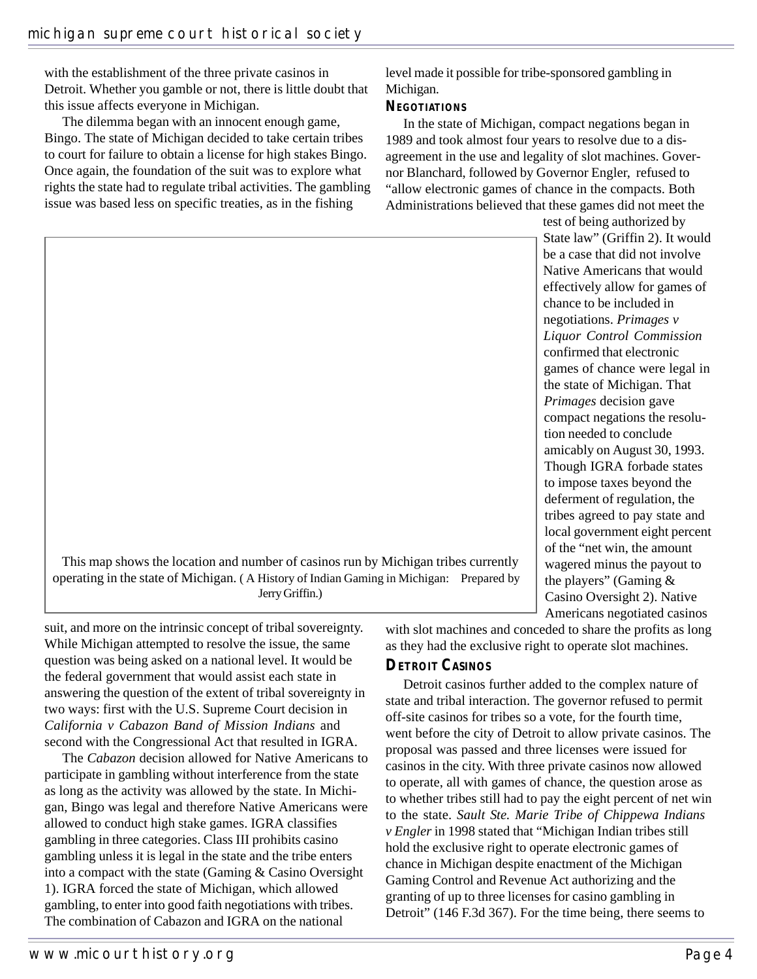with the establishment of the three private casinos in Detroit. Whether you gamble or not, there is little doubt that this issue affects everyone in Michigan.

The dilemma began with an innocent enough game, Bingo. The state of Michigan decided to take certain tribes to court for failure to obtain a license for high stakes Bingo. Once again, the foundation of the suit was to explore what rights the state had to regulate tribal activities. The gambling issue was based less on specific treaties, as in the fishing

level made it possible for tribe-sponsored gambling in Michigan.

#### **NEGOTIATIONS**

In the state of Michigan, compact negations began in 1989 and took almost four years to resolve due to a disagreement in the use and legality of slot machines. Governor Blanchard, followed by Governor Engler, refused to "allow electronic games of chance in the compacts. Both Administrations believed that these games did not meet the

test of being authorized by State law" (Griffin 2). It would be a case that did not involve Native Americans that would effectively allow for games of chance to be included in negotiations. *Primages v Liquor Control Commission* confirmed that electronic games of chance were legal in the state of Michigan. That *Primages* decision gave compact negations the resolution needed to conclude amicably on August 30, 1993. Though IGRA forbade states to impose taxes beyond the deferment of regulation, the tribes agreed to pay state and local government eight percent of the "net win, the amount wagered minus the payout to the players" (Gaming & Casino Oversight 2). Native Americans negotiated casinos

This map shows the location and number of casinos run by Michigan tribes currently operating in the state of Michigan. ( A History of Indian Gaming in Michigan: Prepared by Jerry Griffin.)

suit, and more on the intrinsic concept of tribal sovereignty. While Michigan attempted to resolve the issue, the same question was being asked on a national level. It would be the federal government that would assist each state in answering the question of the extent of tribal sovereignty in two ways: first with the U.S. Supreme Court decision in *California v Cabazon Band of Mission Indians* and second with the Congressional Act that resulted in IGRA.

The *Cabazon* decision allowed for Native Americans to participate in gambling without interference from the state as long as the activity was allowed by the state. In Michigan, Bingo was legal and therefore Native Americans were allowed to conduct high stake games. IGRA classifies gambling in three categories. Class III prohibits casino gambling unless it is legal in the state and the tribe enters into a compact with the state (Gaming & Casino Oversight 1). IGRA forced the state of Michigan, which allowed gambling, to enter into good faith negotiations with tribes. The combination of Cabazon and IGRA on the national

with slot machines and conceded to share the profits as long as they had the exclusive right to operate slot machines.

#### **DETROIT CASINOS**

Detroit casinos further added to the complex nature of state and tribal interaction. The governor refused to permit off-site casinos for tribes so a vote, for the fourth time, went before the city of Detroit to allow private casinos. The proposal was passed and three licenses were issued for casinos in the city. With three private casinos now allowed to operate, all with games of chance, the question arose as to whether tribes still had to pay the eight percent of net win to the state. *Sault Ste. Marie Tribe of Chippewa Indians v Engler* in 1998 stated that "Michigan Indian tribes still hold the exclusive right to operate electronic games of chance in Michigan despite enactment of the Michigan Gaming Control and Revenue Act authorizing and the granting of up to three licenses for casino gambling in Detroit" (146 F.3d 367). For the time being, there seems to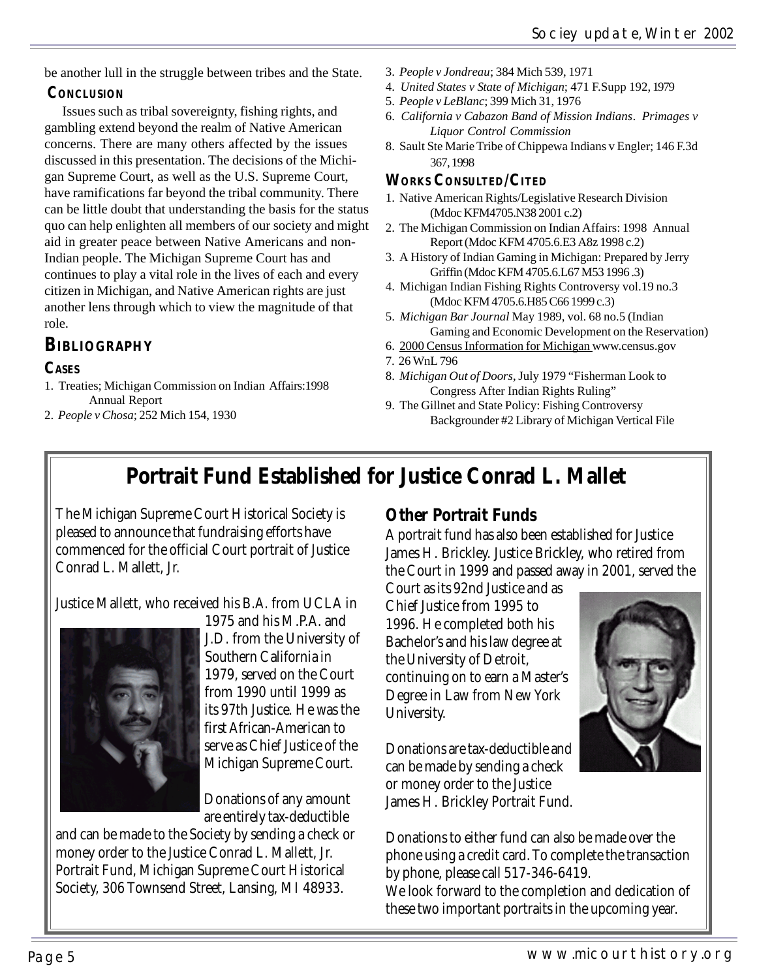be another lull in the struggle between tribes and the State.

#### **CONCLUSION**

Issues such as tribal sovereignty, fishing rights, and gambling extend beyond the realm of Native American concerns. There are many others affected by the issues discussed in this presentation. The decisions of the Michigan Supreme Court, as well as the U.S. Supreme Court, have ramifications far beyond the tribal community. There can be little doubt that understanding the basis for the status quo can help enlighten all members of our society and might aid in greater peace between Native Americans and non-Indian people. The Michigan Supreme Court has and continues to play a vital role in the lives of each and every citizen in Michigan, and Native American rights are just another lens through which to view the magnitude of that role.

### **BIBLIOGRAPHY**

#### **CASES**

- 1. Treaties; Michigan Commission on Indian Affairs:1998 Annual Report
- 2. *People v Chosa*; 252 Mich 154, 1930
- 3. *People v Jondreau*; 384 Mich 539, 1971
- 4. *United States v State of Michigan*; 471 F.Supp 192, 1979
- 5. *People v LeBlanc*; 399 Mich 31, 1976
- 6. *California v Cabazon Band of Mission Indians*. *Primages v Liquor Control Commission*
- 8. Sault Ste Marie Tribe of Chippewa Indians v Engler; 146 F.3d 367, 1998

#### **WORKS CONSULTED/CITED**

- 1. Native American Rights/Legislative Research Division (Mdoc KFM4705.N38 2001 c.2)
- 2. The Michigan Commission on Indian Affairs: 1998 Annual Report (Mdoc KFM 4705.6.E3 A8z 1998 c.2)
- 3. A History of Indian Gaming in Michigan: Prepared by Jerry Griffin (Mdoc KFM 4705.6.L67 M53 1996 .3)
- 4. Michigan Indian Fishing Rights Controversy vol.19 no.3 (Mdoc KFM 4705.6.H85 C66 1999 c.3)
- 5. *Michigan Bar Journal* May 1989, vol. 68 no.5 (Indian Gaming and Economic Development on the Reservation)
- 6. 2000 Census Information for Michigan www.census.gov
- 7. 26 WnL 796
- 8. *Michigan Out of Doors*, July 1979 "Fisherman Look to Congress After Indian Rights Ruling"
- 9. The Gillnet and State Policy: Fishing Controversy Backgrounder #2 Library of Michigan Vertical File

## **Portrait Fund Established for Justice Conrad L. Mallet**

The Michigan Supreme Court Historical Society is pleased to announce that fundraising efforts have commenced for the official Court portrait of Justice Conrad L. Mallett, Jr.

Justice Mallett, who received his B.A. from UCLA in



1975 and his M.P.A. and J.D. from the University of Southern California in 1979, served on the Court from 1990 until 1999 as its 97th Justice. He was the first African-American to serve as Chief Justice of the Michigan Supreme Court.

Donations of any amount are entirely tax-deductible

and can be made to the Society by sending a check or money order to the Justice Conrad L. Mallett, Jr. Portrait Fund, Michigan Supreme Court Historical Society, 306 Townsend Street, Lansing, MI 48933.

### **Other Portrait Funds**

A portrait fund has also been established for Justice James H. Brickley. Justice Brickley, who retired from the Court in 1999 and passed away in 2001, served the

Court as its 92nd Justice and as Chief Justice from 1995 to 1996. He completed both his Bachelor's and his law degree at the University of Detroit, continuing on to earn a Master's Degree in Law from New York University.

Donations are tax-deductible and can be made by sending a check or money order to the Justice James H. Brickley Portrait Fund.

Donations to either fund can also be made over the phone using a credit card. To complete the transaction by phone, please call 517-346-6419. We look forward to the completion and dedication of these two important portraits in the upcoming year.

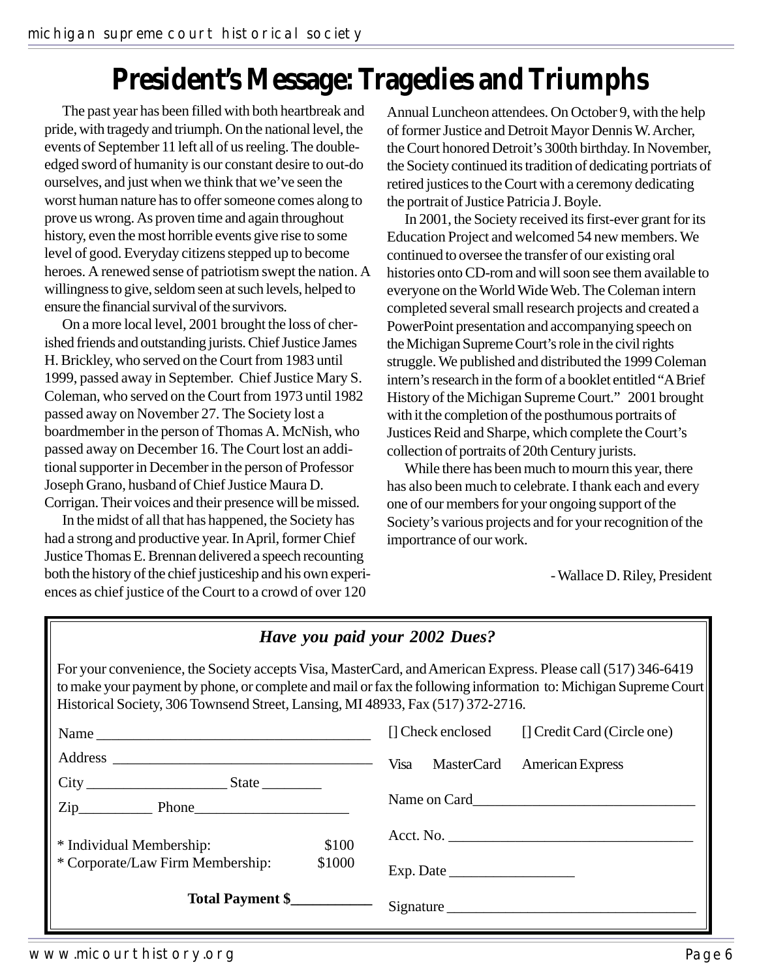# **President's Message: Tragedies and Triumphs**

The past year has been filled with both heartbreak and pride, with tragedy and triumph. On the national level, the events of September 11 left all of us reeling. The doubleedged sword of humanity is our constant desire to out-do ourselves, and just when we think that we've seen the worst human nature has to offer someone comes along to prove us wrong. As proven time and again throughout history, even the most horrible events give rise to some level of good. Everyday citizens stepped up to become heroes. A renewed sense of patriotism swept the nation. A willingness to give, seldom seen at such levels, helped to ensure the financial survival of the survivors.

On a more local level, 2001 brought the loss of cherished friends and outstanding jurists. Chief Justice James H. Brickley, who served on the Court from 1983 until 1999, passed away in September. Chief Justice Mary S. Coleman, who served on the Court from 1973 until 1982 passed away on November 27. The Society lost a boardmember in the person of Thomas A. McNish, who passed away on December 16. The Court lost an additional supporter in December in the person of Professor Joseph Grano, husband of Chief Justice Maura D. Corrigan. Their voices and their presence will be missed.

In the midst of all that has happened, the Society has had a strong and productive year. In April, former Chief Justice Thomas E. Brennan delivered a speech recounting both the history of the chief justiceship and his own experiences as chief justice of the Court to a crowd of over 120

Annual Luncheon attendees. On October 9, with the help of former Justice and Detroit Mayor Dennis W. Archer, the Court honored Detroit's 300th birthday. In November, the Society continued its tradition of dedicating portriats of retired justices to the Court with a ceremony dedicating the portrait of Justice Patricia J. Boyle.

In 2001, the Society received its first-ever grant for its Education Project and welcomed 54 new members. We continued to oversee the transfer of our existing oral histories onto CD-rom and will soon see them available to everyone on the World Wide Web. The Coleman intern completed several small research projects and created a PowerPoint presentation and accompanying speech on the Michigan Supreme Court's role in the civil rights struggle. We published and distributed the 1999 Coleman intern's research in the form of a booklet entitled "A Brief History of the Michigan Supreme Court." 2001 brought with it the completion of the posthumous portraits of Justices Reid and Sharpe, which complete the Court's collection of portraits of 20th Century jurists.

While there has been much to mourn this year, there has also been much to celebrate. I thank each and every one of our members for your ongoing support of the Society's various projects and for your recognition of the importrance of our work.

- Wallace D. Riley, President

#### *Have you paid your 2002 Dues?*

For your convenience, the Society accepts Visa, MasterCard, and American Express. Please call (517) 346-6419 to make your payment by phone, or complete and mail or fax the following information to: Michigan Supreme Court Historical Society, 306 Townsend Street, Lansing, MI 48933, Fax (517) 372-2716.

|                                          |                 |           | [] Check enclosed | [] Credit Card (Circle one)      |  |
|------------------------------------------|-----------------|-----------|-------------------|----------------------------------|--|
|                                          |                 |           |                   | Visa MasterCard American Express |  |
| City<br>$State$ <sub>_____________</sub> |                 |           |                   |                                  |  |
| $Zip$ Phone                              |                 |           |                   |                                  |  |
| * Individual Membership:                 | \$100<br>\$1000 |           |                   |                                  |  |
| * Corporate/Law Firm Membership:         |                 |           |                   |                                  |  |
| Total Payment \$                         |                 | Signature |                   |                                  |  |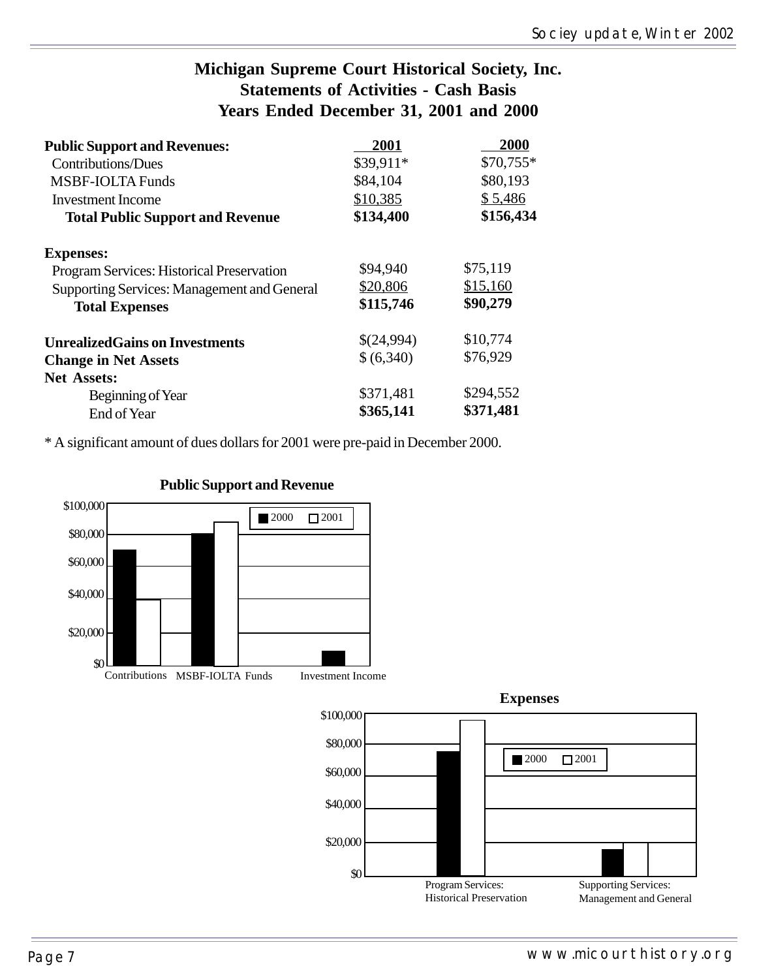#### **Michigan Supreme Court Historical Society, Inc. Statements of Activities - Cash Basis Years Ended December 31, 2001 and 2000**

| <b>Public Support and Revenues:</b>                | 2001       | 2000      |  |
|----------------------------------------------------|------------|-----------|--|
| Contributions/Dues                                 | \$39,911*  | \$70,755* |  |
| <b>MSBF-IOLTA Funds</b>                            | \$84,104   | \$80,193  |  |
| <b>Investment Income</b>                           | \$10,385   | \$5,486   |  |
| <b>Total Public Support and Revenue</b>            | \$134,400  | \$156,434 |  |
| <b>Expenses:</b>                                   |            |           |  |
| Program Services: Historical Preservation          | \$94,940   | \$75,119  |  |
| <b>Supporting Services: Management and General</b> | \$20,806   | \$15,160  |  |
| <b>Total Expenses</b>                              | \$115,746  | \$90,279  |  |
| <b>UnrealizedGains on Investments</b>              | \$(24,994) | \$10,774  |  |
| <b>Change in Net Assets</b>                        | \$(6,340)  | \$76,929  |  |
| <b>Net Assets:</b>                                 |            |           |  |
| Beginning of Year                                  | \$371,481  | \$294,552 |  |
| End of Year                                        | \$365,141  | \$371,481 |  |

\* A significant amount of dues dollars for 2001 were pre-paid in December 2000.



**Public Support and Revenue**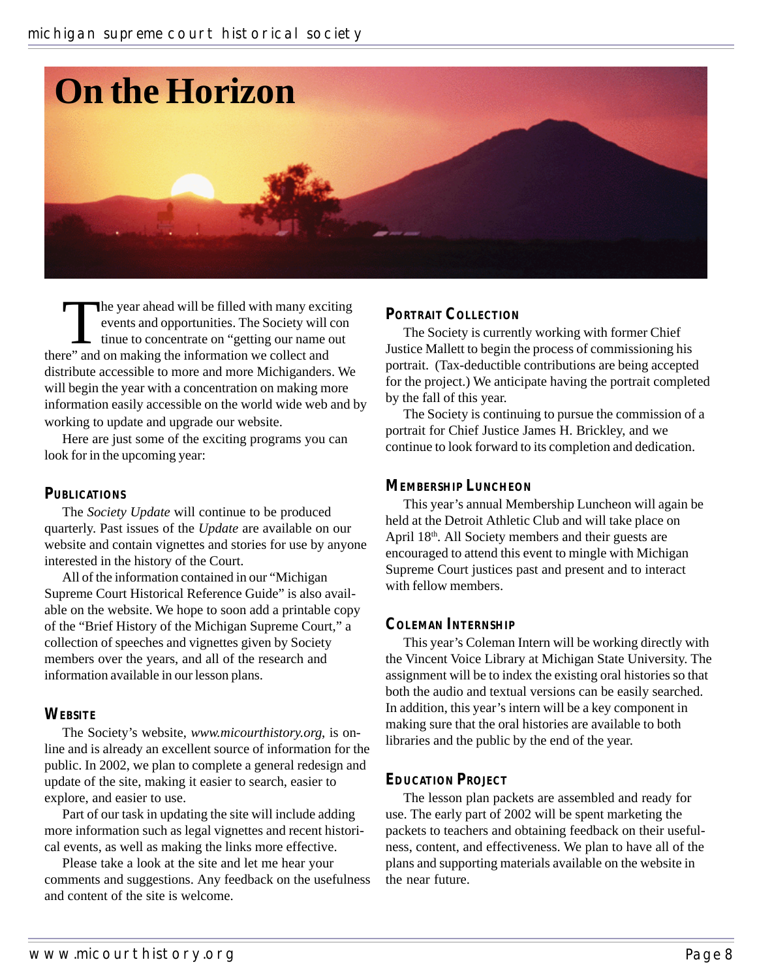

The year ahead will be filled with many exciting<br>events and opportunities. The Society will con<br>tinue to concentrate on "getting our name out<br>re" and on making the information we collect and events and opportunities. The Society will con tinue to concentrate on "getting our name out there" and on making the information we collect and distribute accessible to more and more Michiganders. We will begin the year with a concentration on making more information easily accessible on the world wide web and by working to update and upgrade our website.

Here are just some of the exciting programs you can look for in the upcoming year:

#### **PUBLICATIONS**

The *Society Update* will continue to be produced quarterly. Past issues of the *Update* are available on our website and contain vignettes and stories for use by anyone interested in the history of the Court.

All of the information contained in our "Michigan Supreme Court Historical Reference Guide" is also available on the website. We hope to soon add a printable copy of the "Brief History of the Michigan Supreme Court," a collection of speeches and vignettes given by Society members over the years, and all of the research and information available in our lesson plans.

#### **WEBSITE**

The Society's website, *www.micourthistory.org*, is online and is already an excellent source of information for the public. In 2002, we plan to complete a general redesign and update of the site, making it easier to search, easier to explore, and easier to use.

Part of our task in updating the site will include adding more information such as legal vignettes and recent historical events, as well as making the links more effective.

Please take a look at the site and let me hear your comments and suggestions. Any feedback on the usefulness and content of the site is welcome.

#### **PORTRAIT COLLECTION**

The Society is currently working with former Chief Justice Mallett to begin the process of commissioning his portrait. (Tax-deductible contributions are being accepted for the project.) We anticipate having the portrait completed by the fall of this year.

The Society is continuing to pursue the commission of a portrait for Chief Justice James H. Brickley, and we continue to look forward to its completion and dedication.

#### **MEMBERSHIP LUNCHEON**

This year's annual Membership Luncheon will again be held at the Detroit Athletic Club and will take place on April 18<sup>th</sup>. All Society members and their guests are encouraged to attend this event to mingle with Michigan Supreme Court justices past and present and to interact with fellow members.

#### **COLEMAN INTERNSHIP**

This year's Coleman Intern will be working directly with the Vincent Voice Library at Michigan State University. The assignment will be to index the existing oral histories so that both the audio and textual versions can be easily searched. In addition, this year's intern will be a key component in making sure that the oral histories are available to both libraries and the public by the end of the year.

#### **EDUCATION PROJECT**

The lesson plan packets are assembled and ready for use. The early part of 2002 will be spent marketing the packets to teachers and obtaining feedback on their usefulness, content, and effectiveness. We plan to have all of the plans and supporting materials available on the website in the near future.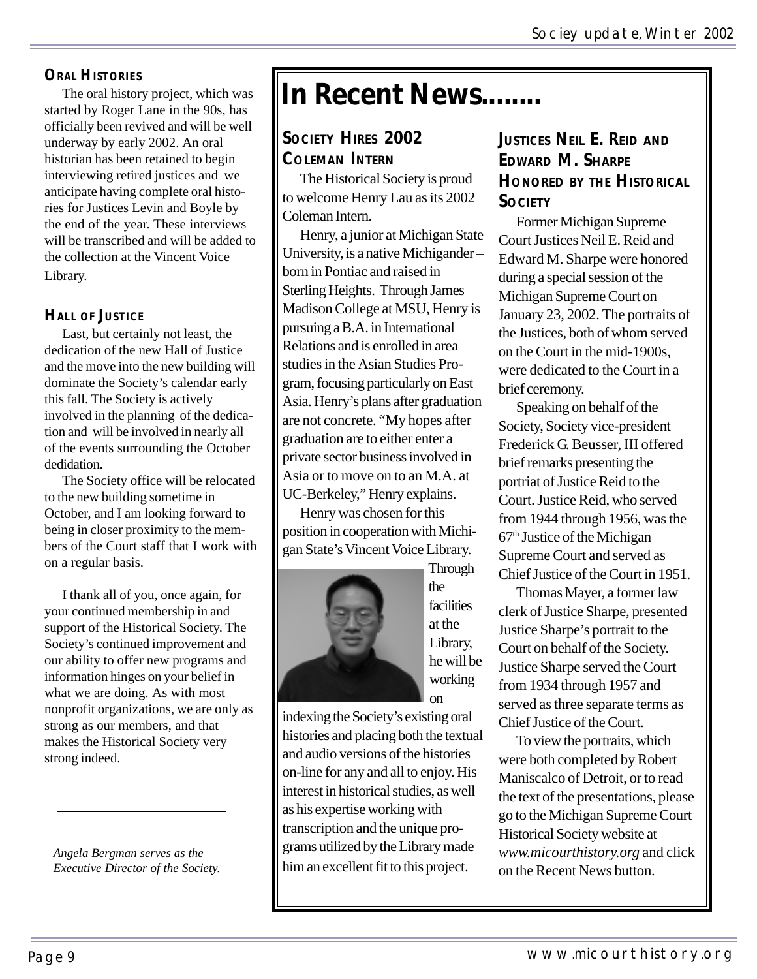#### **ORAL HISTORIES**

The oral history project, which was started by Roger Lane in the 90s, has officially been revived and will be well underway by early 2002. An oral historian has been retained to begin interviewing retired justices and we anticipate having complete oral histories for Justices Levin and Boyle by the end of the year. These interviews will be transcribed and will be added to the collection at the Vincent Voice Library.

#### **HALL OF JUSTICE**

Last, but certainly not least, the dedication of the new Hall of Justice and the move into the new building will dominate the Society's calendar early this fall. The Society is actively involved in the planning of the dedication and will be involved in nearly all of the events surrounding the October dedidation.

The Society office will be relocated to the new building sometime in October, and I am looking forward to being in closer proximity to the members of the Court staff that I work with on a regular basis.

I thank all of you, once again, for your continued membership in and support of the Historical Society. The Society's continued improvement and our ability to offer new programs and information hinges on your belief in what we are doing. As with most nonprofit organizations, we are only as strong as our members, and that makes the Historical Society very strong indeed.

*Angela Bergman serves as the Executive Director of the Society.*

# **In Recent News........**

#### **SOCIETY HIRES 2002 COLEMAN INTERN**

The Historical Society is proud to welcome Henry Lau as its 2002 Coleman Intern.

Henry, a junior at Michigan State University, is a native Michigander – born in Pontiac and raised in Sterling Heights. Through James Madison College at MSU, Henry is pursuing a B.A. in International Relations and is enrolled in area studies in the Asian Studies Program, focusing particularly on East Asia. Henry's plans after graduation are not concrete. "My hopes after graduation are to either enter a private sector business involved in Asia or to move on to an M.A. at UC-Berkeley," Henry explains.

Henry was chosen for this position in cooperation with Michigan State's Vincent Voice Library.



**Through** the **facilities** at the Library, he will be working on

indexing the Society's existing oral histories and placing both the textual and audio versions of the histories on-line for any and all to enjoy. His interest in historical studies, as well as his expertise working with transcription and the unique programs utilized by the Library made him an excellent fit to this project.

#### **JUSTICES NEIL E. REID AND EDWARD M. SHARPE HONORED BY THE HISTORICAL SOCIETY**

Former Michigan Supreme Court Justices Neil E. Reid and Edward M. Sharpe were honored during a special session of the Michigan Supreme Court on January 23, 2002. The portraits of the Justices, both of whom served on the Court in the mid-1900s, were dedicated to the Court in a brief ceremony.

Speaking on behalf of the Society, Society vice-president Frederick G. Beusser, III offered brief remarks presenting the portriat of Justice Reid to the Court. Justice Reid, who served from 1944 through 1956, was the 67th Justice of the Michigan Supreme Court and served as Chief Justice of the Court in 1951.

Thomas Mayer, a former law clerk of Justice Sharpe, presented Justice Sharpe's portrait to the Court on behalf of the Society. Justice Sharpe served the Court from 1934 through 1957 and served as three separate terms as Chief Justice of the Court.

To view the portraits, which were both completed by Robert Maniscalco of Detroit, or to read the text of the presentations, please go to the Michigan Supreme Court Historical Society website at *www.micourthistory.org* and click on the Recent News button.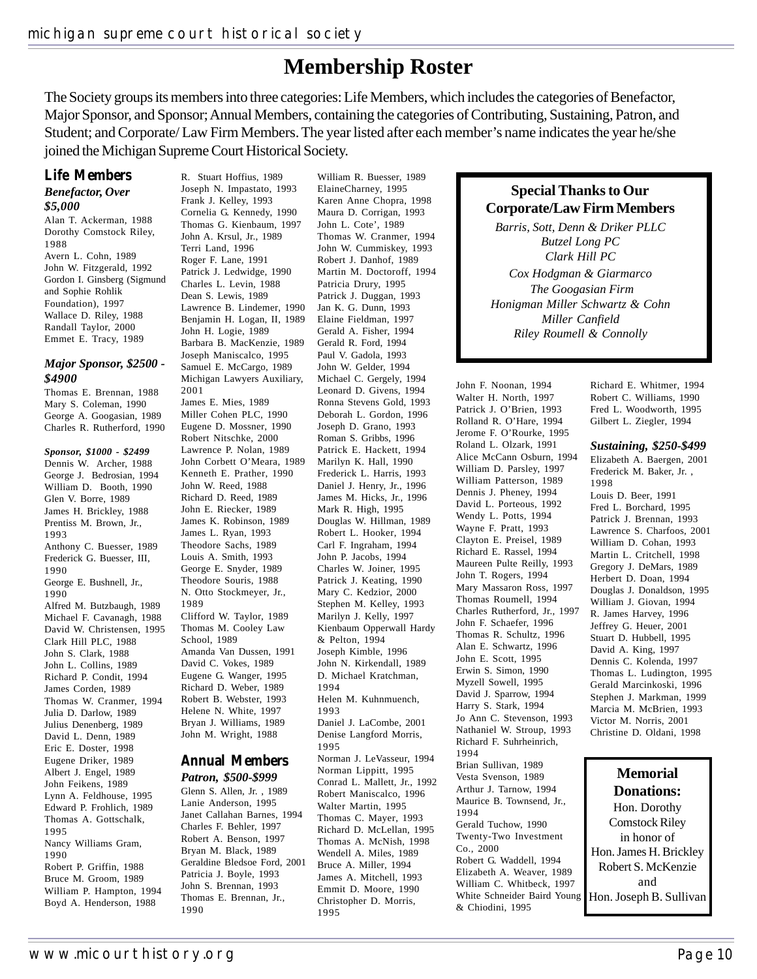R. Stuart Hoffius, 1989

### **Membership Roster**

The Society groups its members into three categories: Life Members, which includes the categories of Benefactor, Major Sponsor, and Sponsor; Annual Members, containing the categories of Contributing, Sustaining, Patron, and Student; and Corporate/ Law Firm Members. The year listed after each member's name indicates the year he/she joined the Michigan Supreme Court Historical Society.

#### **Life Members**

#### *Benefactor, Over \$5,000*

Alan T. Ackerman, 1988 Dorothy Comstock Riley, 1988 Avern L. Cohn, 1989 John W. Fitzgerald, 1992 Gordon I. Ginsberg (Sigmund and Sophie Rohlik Foundation), 1997 Wallace D. Riley, 1988 Randall Taylor, 2000 Emmet E. Tracy, 1989

#### *Major Sponsor, \$2500 - \$4900*

Thomas E. Brennan, 1988 Mary S. Coleman, 1990 George A. Googasian, 1989 Charles R. Rutherford, 1990

#### *Sponsor, \$1000 - \$2499*

Dennis W. Archer, 1988 George J. Bedrosian, 1994 William D. Booth, 1990 Glen V. Borre, 1989 James H. Brickley, 1988 Prentiss M. Brown, Jr., 1993 Anthony C. Buesser, 1989 Frederick G. Buesser, III, 1990 George E. Bushnell, Jr., 1990 Alfred M. Butzbaugh, 1989 Michael F. Cavanagh, 1988 David W. Christensen, 1995 Clark Hill PLC, 1988 John S. Clark, 1988 John L. Collins, 1989 Richard P. Condit, 1994 James Corden, 1989 Thomas W. Cranmer, 1994 Julia D. Darlow, 1989 Julius Denenberg, 1989 David L. Denn, 1989 Eric E. Doster, 1998 Eugene Driker, 1989 Albert J. Engel, 1989 John Feikens, 1989 Lynn A. Feldhouse, 1995 Edward P. Frohlich, 1989 Thomas A. Gottschalk, 1995 Nancy Williams Gram, 1990 Robert P. Griffin, 1988 Bruce M. Groom, 1989 William P. Hampton, 1994 Boyd A. Henderson, 1988

Joseph N. Impastato, 1993 Frank J. Kelley, 1993 Cornelia G. Kennedy, 1990 Thomas G. Kienbaum, 1997 John A. Krsul, Jr., 1989 Terri Land, 1996 Roger F. Lane, 1991 Patrick J. Ledwidge, 1990 Charles L. Levin, 1988 Dean S. Lewis, 1989 Lawrence B. Lindemer, 1990 Benjamin H. Logan, II, 1989 John H. Logie, 1989 Barbara B. MacKenzie, 1989 Joseph Maniscalco, 1995 Samuel E. McCargo, 1989 Michigan Lawyers Auxiliary, 2001 James E. Mies, 1989 Miller Cohen PLC, 1990 Eugene D. Mossner, 1990 Robert Nitschke, 2000 Lawrence P. Nolan, 1989 John Corbett O'Meara, 1989 Kenneth E. Prather, 1990 John W. Reed, 1988 Richard D. Reed, 1989 John E. Riecker, 1989 James K. Robinson, 1989 James L. Ryan, 1993 Theodore Sachs, 1989 Louis A. Smith, 1993 George E. Snyder, 1989 Theodore Souris, 1988 N. Otto Stockmeyer, Jr., 1989 Clifford W. Taylor, 1989 Thomas M. Cooley Law School, 1989 Amanda Van Dussen, 1991 David C. Vokes, 1989 Eugene G. Wanger, 1995 Richard D. Weber, 1989 Robert B. Webster, 1993 Helene N. White, 1997 Bryan J. Williams, 1989 John M. Wright, 1988

#### **Annual Members** *Patron, \$500-\$999*

Glenn S. Allen, Jr. , 1989 Lanie Anderson, 1995 Janet Callahan Barnes, 1994 Charles F. Behler, 1997 Robert A. Benson, 1997 Bryan M. Black, 1989 Geraldine Bledsoe Ford, 2001 Patricia J. Boyle, 1993 John S. Brennan, 1993 Thomas E. Brennan, Jr., 1990

William R. Buesser, 1989 ElaineCharney, 1995 Karen Anne Chopra, 1998 Maura D. Corrigan, 1993 John L. Cote', 1989 Thomas W. Cranmer, 1994 John W. Cummiskey, 1993 Robert J. Danhof, 1989 Martin M. Doctoroff, 1994 Patricia Drury, 1995 Patrick J. Duggan, 1993 Jan K. G. Dunn, 1993 Elaine Fieldman, 1997 Gerald A. Fisher, 1994 Gerald R. Ford, 1994 Paul V. Gadola, 1993 John W. Gelder, 1994 Michael C. Gergely, 1994 Leonard D. Givens, 1994 Ronna Stevens Gold, 1993 Deborah L. Gordon, 1996 Joseph D. Grano, 1993 Roman S. Gribbs, 1996 Patrick E. Hackett, 1994 Marilyn K. Hall, 1990 Frederick L. Harris, 1993 Daniel J. Henry, Jr., 1996 James M. Hicks, Jr., 1996 Mark R. High, 1995 Douglas W. Hillman, 1989 Robert L. Hooker, 1994 Carl F. Ingraham, 1994 John P. Jacobs, 1994 Charles W. Joiner, 1995 Patrick J. Keating, 1990 Mary C. Kedzior, 2000 Stephen M. Kelley, 1993 Marilyn J. Kelly, 1997 Kienbaum Opperwall Hardy & Pelton, 1994 Joseph Kimble, 1996 John N. Kirkendall, 1989 D. Michael Kratchman, 1994 Helen M. Kuhnmuench, 1993 Daniel J. LaCombe, 2001 Denise Langford Morris, 1995 Norman J. LeVasseur, 1994 Norman Lippitt, 1995 Conrad L. Mallett, Jr., 1992 Robert Maniscalco, 1996 Walter Martin, 1995 Thomas C. Mayer, 1993 Richard D. McLellan, 1995 Thomas A. McNish, 1998 Wendell A. Miles, 1989 Bruce A. Miller, 1994 James A. Mitchell, 1993

Emmit D. Moore, 1990 Christopher D. Morris,

1995

#### **Special Thanks to Our Corporate/Law Firm Members**

*Barris, Sott, Denn & Driker PLLC Butzel Long PC Clark Hill PC Cox Hodgman & Giarmarco The Googasian Firm Honigman Miller Schwartz & Cohn Miller Canfield Riley Roumell & Connolly*

John F. Noonan, 1994 Walter H. North, 1997 Patrick J. O'Brien, 1993 Rolland R. O'Hare, 1994 Jerome F. O'Rourke, 1995 Roland L. Olzark, 1991 Alice McCann Osburn, 1994 William D. Parsley, 1997 William Patterson, 1989 Dennis J. Pheney, 1994 David L. Porteous, 1992 Wendy L. Potts, 1994 Wayne F. Pratt, 1993 Clayton E. Preisel, 1989 Richard E. Rassel, 1994 Maureen Pulte Reilly, 1993 John T. Rogers, 1994 Mary Massaron Ross, 1997 Thomas Roumell, 1994 Charles Rutherford, Jr., 1997 John F. Schaefer, 1996 Thomas R. Schultz, 1996 Alan E. Schwartz, 1996 John E. Scott, 1995 Erwin S. Simon, 1990 Myzell Sowell, 1995 David J. Sparrow, 1994 Harry S. Stark, 1994 Jo Ann C. Stevenson, 1993 Nathaniel W. Stroup, 1993 Richard F. Suhrheinrich, 1994 Brian Sullivan, 1989 Vesta Svenson, 1989 Arthur J. Tarnow, 1994 Maurice B. Townsend, Jr., 1994 Gerald Tuchow, 1990 Twenty-Two Investment Co., 2000 Robert G. Waddell, 1994 Elizabeth A. Weaver, 1989 William C. Whitbeck, 1997 White Schneider Baird Young & Chiodini, 1995

Richard E. Whitmer, 1994 Robert C. Williams, 1990 Fred L. Woodworth, 1995 Gilbert L. Ziegler, 1994

#### *Sustaining, \$250-\$499*

Elizabeth A. Baergen, 2001 Frederick M. Baker, Jr. , 1998 Louis D. Beer, 1991 Fred L. Borchard, 1995 Patrick J. Brennan, 1993 Lawrence S. Charfoos, 2001 William D. Cohan, 1993 Martin L. Critchell, 1998 Gregory J. DeMars, 1989 Herbert D. Doan, 1994 Douglas J. Donaldson, 1995 William J. Giovan, 1994 R. James Harvey, 1996 Jeffrey G. Heuer, 2001 Stuart D. Hubbell, 1995 David A. King, 1997 Dennis C. Kolenda, 1997 Thomas L. Ludington, 1995 Gerald Marcinkoski, 1996 Stephen J. Markman, 1999 Marcia M. McBrien, 1993 Victor M. Norris, 2001 Christine D. Oldani, 1998

#### **Memorial Donations:**

Hon. Dorothy Comstock Riley in honor of Hon. James H. Brickley Robert S. McKenzie and Hon. Joseph B. Sullivan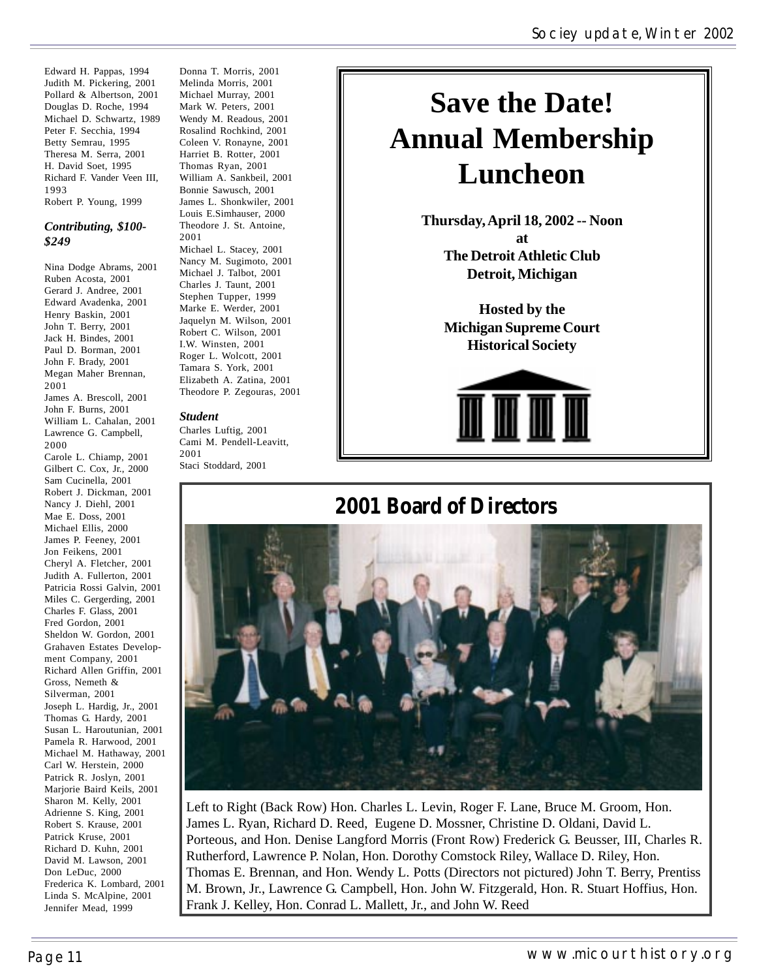Edward H. Pappas, 1994 Judith M. Pickering, 2001 Pollard & Albertson, 2001 Douglas D. Roche, 1994 Michael D. Schwartz, 1989 Peter F. Secchia, 1994 Betty Semrau, 1995 Theresa M. Serra, 2001 H. David Soet, 1995 Richard F. Vander Veen III, 1993 Robert P. Young, 1999

#### *Contributing, \$100- \$249*

Nina Dodge Abrams, 2001 Ruben Acosta, 2001 Gerard J. Andree, 2001 Edward Avadenka, 2001 Henry Baskin, 2001 John T. Berry, 2001 Jack H. Bindes, 2001 Paul D. Borman, 2001 John F. Brady, 2001 Megan Maher Brennan, 2001 James A. Brescoll, 2001 John F. Burns, 2001 William L. Cahalan, 2001 Lawrence G. Campbell, 2000 Carole L. Chiamp, 2001 Gilbert C. Cox, Jr., 2000 Sam Cucinella, 2001 Robert J. Dickman, 2001 Nancy J. Diehl, 2001 Mae E. Doss, 2001 Michael Ellis, 2000 James P. Feeney, 2001 Jon Feikens, 2001 Cheryl A. Fletcher, 2001 Judith A. Fullerton, 2001 Patricia Rossi Galvin, 2001 Miles C. Gergerding, 2001 Charles F. Glass, 2001 Fred Gordon, 2001 Sheldon W. Gordon, 2001 Grahaven Estates Development Company, 2001 Richard Allen Griffin, 2001 Gross, Nemeth & Silverman, 2001 Joseph L. Hardig, Jr., 2001 Thomas G. Hardy, 2001 Susan L. Haroutunian, 2001 Pamela R. Harwood, 2001 Michael M. Hathaway, 2001 Carl W. Herstein, 2000 Patrick R. Joslyn, 2001 Marjorie Baird Keils, 2001 Sharon M. Kelly, 2001 Adrienne S. King, 2001 Robert S. Krause, 2001 Patrick Kruse, 2001 Richard D. Kuhn, 2001 David M. Lawson, 2001 Don LeDuc, 2000 Frederica K. Lombard, 2001 Linda S. McAlpine, 2001 Jennifer Mead, 1999

Donna T. Morris, 2001 Melinda Morris, 2001 Michael Murray, 2001 Mark W. Peters, 2001 Wendy M. Readous, 2001 Rosalind Rochkind, 2001 Coleen V. Ronayne, 2001 Harriet B. Rotter, 2001 Thomas Ryan, 2001 William A. Sankbeil, 2001 Bonnie Sawusch, 2001 James L. Shonkwiler, 2001 Louis E.Simhauser, 2000 Theodore J. St. Antoine, 2001 Michael L. Stacey, 2001 Nancy M. Sugimoto, 2001 Michael J. Talbot, 2001 Charles J. Taunt, 2001 Stephen Tupper, 1999 Marke E. Werder, 2001 Jaquelyn M. Wilson, 2001 Robert C. Wilson, 2001 I.W. Winsten, 2001 Roger L. Wolcott, 2001 Tamara S. York, 2001 Elizabeth A. Zatina, 2001 Theodore P. Zegouras, 2001

#### *Student*

Charles Luftig, 2001 Cami M. Pendell-Leavitt, 2001 Staci Stoddard, 2001

# **Save the Date! Annual Membership Luncheon**

**Thursday, April 18, 2002 -- Noon at The Detroit Athletic Club Detroit, Michigan**

**Hosted by the Michigan Supreme Court Historical Society**



### **2001 Board of Directors**



Left to Right (Back Row) Hon. Charles L. Levin, Roger F. Lane, Bruce M. Groom, Hon. James L. Ryan, Richard D. Reed, Eugene D. Mossner, Christine D. Oldani, David L. Porteous, and Hon. Denise Langford Morris (Front Row) Frederick G. Beusser, III, Charles R. Rutherford, Lawrence P. Nolan, Hon. Dorothy Comstock Riley, Wallace D. Riley, Hon. Thomas E. Brennan, and Hon. Wendy L. Potts (Directors not pictured) John T. Berry, Prentiss M. Brown, Jr., Lawrence G. Campbell, Hon. John W. Fitzgerald, Hon. R. Stuart Hoffius, Hon. Frank J. Kelley, Hon. Conrad L. Mallett, Jr., and John W. Reed

#### Page 11 and the control of the control of the control of the www.micourthistory.org